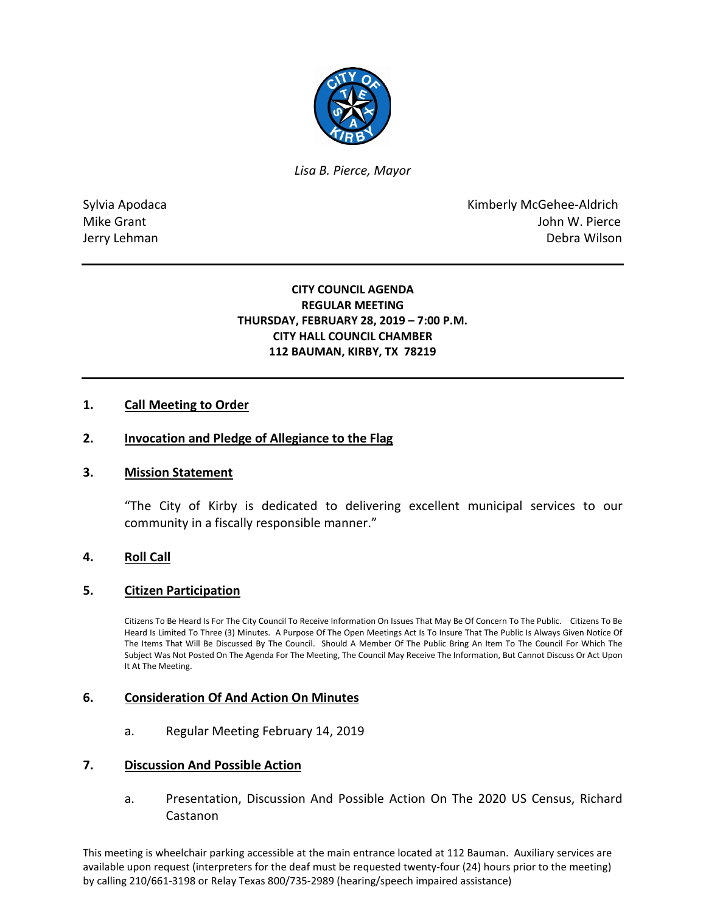

*Lisa B. Pierce, Mayor* 

Sylvia Apodaca **Kimberly McGehee-Aldrich** Mike Grant **Mike Grant** John W. Pierce Jerry Lehman Debra Wilson

# **CITY COUNCIL AGENDA REGULAR MEETING THURSDAY, FEBRUARY 28, 2019 – 7:00 P.M. CITY HALL COUNCIL CHAMBER 112 BAUMAN, KIRBY, TX 78219**

# **1. Call Meeting to Order**

### **2. Invocation and Pledge of Allegiance to the Flag**

### **3. Mission Statement**

"The City of Kirby is dedicated to delivering excellent municipal services to our community in a fiscally responsible manner."

### **4. Roll Call**

### **5. Citizen Participation**

Citizens To Be Heard Is For The City Council To Receive Information On Issues That May Be Of Concern To The Public. Citizens To Be Heard Is Limited To Three (3) Minutes. A Purpose Of The Open Meetings Act Is To Insure That The Public Is Always Given Notice Of The Items That Will Be Discussed By The Council. Should A Member Of The Public Bring An Item To The Council For Which The Subject Was Not Posted On The Agenda For The Meeting, The Council May Receive The Information, But Cannot Discuss Or Act Upon It At The Meeting.

### **6. Consideration Of And Action On Minutes**

a. Regular Meeting February 14, 2019

#### **7. Discussion And Possible Action**

a. Presentation, Discussion And Possible Action On The 2020 US Census, Richard Castanon

This meeting is wheelchair parking accessible at the main entrance located at 112 Bauman. Auxiliary services are available upon request (interpreters for the deaf must be requested twenty-four (24) hours prior to the meeting) by calling 210/661-3198 or Relay Texas 800/735-2989 (hearing/speech impaired assistance)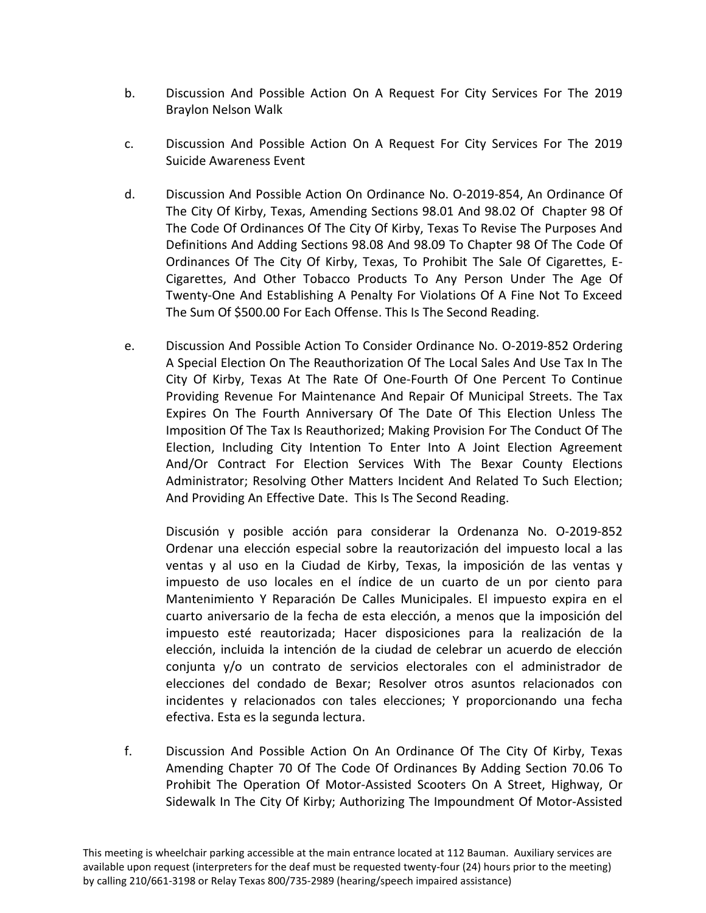- b. Discussion And Possible Action On A Request For City Services For The 2019 Braylon Nelson Walk
- c. Discussion And Possible Action On A Request For City Services For The 2019 Suicide Awareness Event
- d. Discussion And Possible Action On Ordinance No. O-2019-854, An Ordinance Of The City Of Kirby, Texas, Amending Sections 98.01 And 98.02 Of Chapter 98 Of The Code Of Ordinances Of The City Of Kirby, Texas To Revise The Purposes And Definitions And Adding Sections 98.08 And 98.09 To Chapter 98 Of The Code Of Ordinances Of The City Of Kirby, Texas, To Prohibit The Sale Of Cigarettes, E-Cigarettes, And Other Tobacco Products To Any Person Under The Age Of Twenty-One And Establishing A Penalty For Violations Of A Fine Not To Exceed The Sum Of \$500.00 For Each Offense. This Is The Second Reading.
- e. Discussion And Possible Action To Consider Ordinance No. O-2019-852 Ordering A Special Election On The Reauthorization Of The Local Sales And Use Tax In The City Of Kirby, Texas At The Rate Of One-Fourth Of One Percent To Continue Providing Revenue For Maintenance And Repair Of Municipal Streets. The Tax Expires On The Fourth Anniversary Of The Date Of This Election Unless The Imposition Of The Tax Is Reauthorized; Making Provision For The Conduct Of The Election, Including City Intention To Enter Into A Joint Election Agreement And/Or Contract For Election Services With The Bexar County Elections Administrator; Resolving Other Matters Incident And Related To Such Election; And Providing An Effective Date. This Is The Second Reading.

Discusión y posible acción para considerar la Ordenanza No. O-2019-852 Ordenar una elección especial sobre la reautorización del impuesto local a las ventas y al uso en la Ciudad de Kirby, Texas, la imposición de las ventas y impuesto de uso locales en el índice de un cuarto de un por ciento para Mantenimiento Y Reparación De Calles Municipales. El impuesto expira en el cuarto aniversario de la fecha de esta elección, a menos que la imposición del impuesto esté reautorizada; Hacer disposiciones para la realización de la elección, incluida la intención de la ciudad de celebrar un acuerdo de elección conjunta y/o un contrato de servicios electorales con el administrador de elecciones del condado de Bexar; Resolver otros asuntos relacionados con incidentes y relacionados con tales elecciones; Y proporcionando una fecha efectiva. Esta es la segunda lectura.

f. Discussion And Possible Action On An Ordinance Of The City Of Kirby, Texas Amending Chapter 70 Of The Code Of Ordinances By Adding Section 70.06 To Prohibit The Operation Of Motor-Assisted Scooters On A Street, Highway, Or Sidewalk In The City Of Kirby; Authorizing The Impoundment Of Motor-Assisted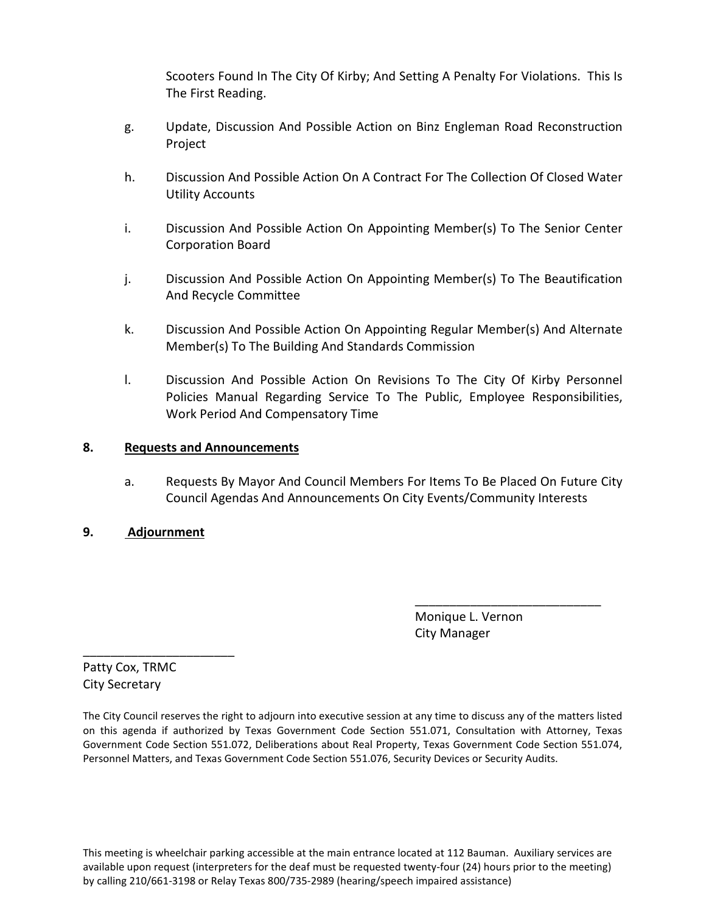Scooters Found In The City Of Kirby; And Setting A Penalty For Violations. This Is The First Reading.

- g. Update, Discussion And Possible Action on Binz Engleman Road Reconstruction Project
- h. Discussion And Possible Action On A Contract For The Collection Of Closed Water Utility Accounts
- i. Discussion And Possible Action On Appointing Member(s) To The Senior Center Corporation Board
- j. Discussion And Possible Action On Appointing Member(s) To The Beautification And Recycle Committee
- k. Discussion And Possible Action On Appointing Regular Member(s) And Alternate Member(s) To The Building And Standards Commission
- l. Discussion And Possible Action On Revisions To The City Of Kirby Personnel Policies Manual Regarding Service To The Public, Employee Responsibilities, Work Period And Compensatory Time

# **8. Requests and Announcements**

a. Requests By Mayor And Council Members For Items To Be Placed On Future City Council Agendas And Announcements On City Events/Community Interests

\_\_\_\_\_\_\_\_\_\_\_\_\_\_\_\_\_\_\_\_\_\_\_\_\_\_\_

# **9. Adjournment**

 Monique L. Vernon City Manager

Patty Cox, TRMC City Secretary

\_\_\_\_\_\_\_\_\_\_\_\_\_\_\_\_\_\_\_\_\_\_

The City Council reserves the right to adjourn into executive session at any time to discuss any of the matters listed on this agenda if authorized by Texas Government Code Section 551.071, Consultation with Attorney, Texas Government Code Section 551.072, Deliberations about Real Property, Texas Government Code Section 551.074, Personnel Matters, and Texas Government Code Section 551.076, Security Devices or Security Audits.

This meeting is wheelchair parking accessible at the main entrance located at 112 Bauman. Auxiliary services are available upon request (interpreters for the deaf must be requested twenty-four (24) hours prior to the meeting) by calling 210/661-3198 or Relay Texas 800/735-2989 (hearing/speech impaired assistance)